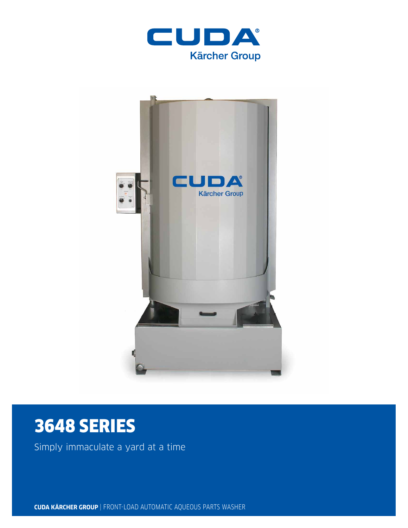



# 3648 SERIES

Simply immaculate a yard at a time

**CUDA KÄRCHER GROUP** | FRONT-LOAD AUTOMATIC AQUEOUS PARTS WASHER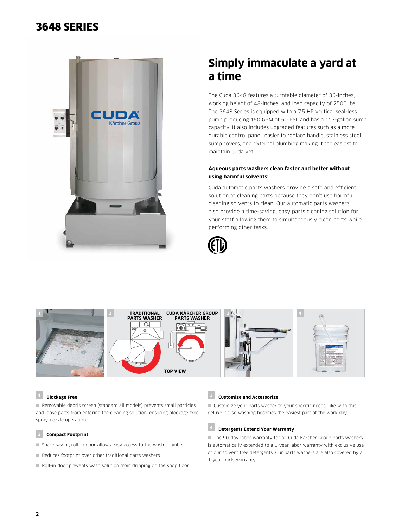# 3648 SERIES



# **Simply immaculate a yard at a time**

The Cuda 3648 features a turntable diameter of 36-inches, working height of 48-inches, and load capacity of 2500 lbs. The 3648 Series is equipped with a 7.5 HP vertical seal-less pump producing 150 GPM at 50 PSI, and has a 113-gallon sump capacity. It also includes upgraded features such as a more durable control panel, easier to replace handle, stainless steel sump covers, and external plumbing making it the easiest to maintain Cuda yet!

### **Aqueous parts washers clean faster and better without using harmful solvents!**

Cuda automatic parts washers provide a safe and efficient solution to cleaning parts because they don't use harmful cleaning solvents to clean. Our automatic parts washers also provide a time-saving, easy parts cleaning solution for your staff allowing them to simultaneously clean parts while performing other tasks.





### **<sup>1</sup> Blockage Free**

■ Removable debris screen (standard all models) prevents small particles and loose parts from entering the cleaning solution, ensuring blockage-free spray-nozzle operation.

#### **2 Compact Footprint**

- Space saving roll-in door allows easy access to the wash chamber.
- Reduces footprint over other traditional parts washers.
- Roll-in door prevents wash solution from dripping on the shop floor.

### **<sup>3</sup> Customize and Accessorize**

■ Customize your parts washer to your specific needs, like with this deluxe kit, so washing becomes the easiest part of the work day.

# **<sup>4</sup> Detergents Extend Your Warranty**

■ The 90-day labor warranty for all Cuda Kärcher Group parts washers is automatically extended to a 1-year labor warranty with exclusive use of our solvent free detergents. Our parts washers are also covered by a 1-year parts warranty.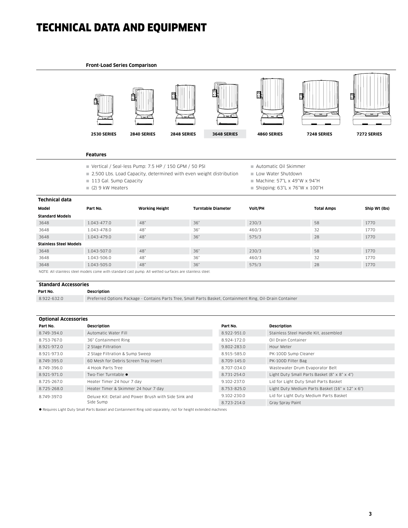# TECHNICAL DATA AND EQUIPMENT

#### **Front-Load Series Comparison**



#### **Features**

- Vertical / Seal-less Pump: 7.5 HP / 150 GPM / 50 PSI
- 2,500 Lbs. Load Capacity, determined with even weight distribution
- 113 Gal. Sump Capacity
- $(2)$  9 kW Heaters
- Automatic Oil Skimmer
- Low Water Shutdown
- $\blacksquare$  Machine: 57"L x 49"W x 94"H
- Shipping:  $63"L \times 76"W \times 100"H$

| Technical data                                                                                          |                 |                       |                           |         |                   |               |  |
|---------------------------------------------------------------------------------------------------------|-----------------|-----------------------|---------------------------|---------|-------------------|---------------|--|
| Model                                                                                                   | Part No.        | <b>Working Height</b> | <b>Turntable Diameter</b> | Volt/PH | <b>Total Amps</b> | Ship Wt (lbs) |  |
| <b>Standard Models</b>                                                                                  |                 |                       |                           |         |                   |               |  |
| 3648                                                                                                    | 1.043-477.0     | 48"                   | 36"                       | 230/3   | 58                | 1770          |  |
| 3648                                                                                                    | 1.043-478.0     | 48"                   | 36"                       | 460/3   | 32                | 1770          |  |
| 3648                                                                                                    | $1.043 - 479.0$ | 48"                   | 36"                       | 575/3   | 28                | 1770          |  |
| <b>Stainless Steel Models</b>                                                                           |                 |                       |                           |         |                   |               |  |
| 3648                                                                                                    | 1.043-507.0     | 48"                   | 36"                       | 230/3   | 58                | 1770          |  |
| 3648                                                                                                    | 1.043-506.0     | 48"                   | 36"                       | 460/3   | 32                | 1770          |  |
| 3648                                                                                                    | 1.043-505.0     | 48"                   | 36"                       | 575/3   | 28                | 1770          |  |
| NOTE: All stainless steel models come with standard cast pump. All wetted surfaces are stainless steel. |                 |                       |                           |         |                   |               |  |

#### **Standard Accessories**

#### **Part No. Description**

8.922-632.0 Preferred Options Package - Contains Parts Tree, Small Parts Basket, Containment Ring, Oil-Drain Container

| <b>Optional Accessories</b> |                                                       |             |                                                 |  |  |  |
|-----------------------------|-------------------------------------------------------|-------------|-------------------------------------------------|--|--|--|
| Part No.                    | Description                                           | Part No.    | Description                                     |  |  |  |
| 8.749-394.0                 | Automatic Water Fill                                  | 8.922-951.0 | Stainless Steel Handle Kit, assembled           |  |  |  |
| 8.753-767.0                 | 36" Containment Ring                                  | 8.924-172.0 | Oil Drain Container                             |  |  |  |
| 8.921-972.0                 | 2 Stage Filtration                                    | 9.802-283.0 | Hour Meter                                      |  |  |  |
| 8.921-973.0                 | 2 Stage Filtration & Sump Sweep                       | 8.915-585.0 | PK-100D Sump Cleaner                            |  |  |  |
| 8.749-395.0                 | 60 Mesh for Debris Screen Tray Insert                 | 8.709-145.0 | PK-100D Filter Bag                              |  |  |  |
| 8.749-396.0                 | 4 Hook Parts Tree                                     | 8.707-034.0 | Wastewater Drum Evaporator Belt                 |  |  |  |
| 8.921-971.0                 | Two-Tier Turntable •                                  | 8.731-254.0 | Light Duty Small Parts Basket (8" x 8" x 4")    |  |  |  |
| 8.725-267.0                 | Heater Timer 24 hour 7 day                            | 9.102-237.0 | Lid for Light Duty Small Parts Basket           |  |  |  |
| 8.725-268.0                 | Heater Timer & Skimmer 24 hour 7 day                  | 8.753-825.0 | Light Duty Medium Parts Basket (16" x 12" x 6") |  |  |  |
| 8.749-397.0                 | Deluxe Kit: Detail and Power Brush with Side Sink and | 9.102-230.0 | Lid for Light Duty Medium Parts Basket          |  |  |  |
|                             | Side Sump                                             | 8.723-214.0 | Gray Spray Paint                                |  |  |  |

l Requires Light Duty Small Parts Basket and Containment Ring sold separately, not for height extended machines